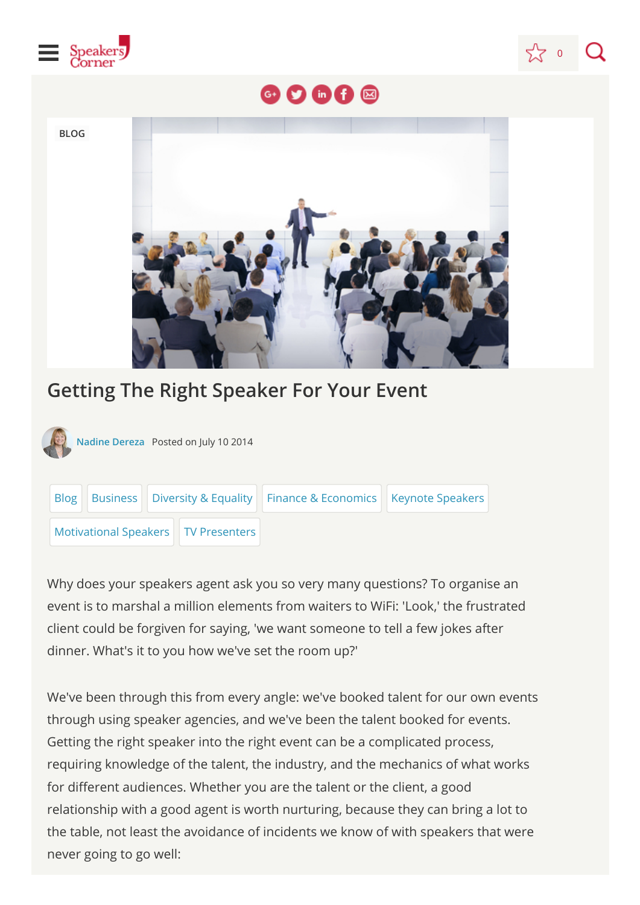



## $O$  of  $\circledcirc$

**BLOG**



## **Getting The Right Speaker For Your Event**

**[Nadine Dereza](javascript:void(0);)** Posted on July 10 2014



Why does your speakers agent ask you so very many questions? To organise an event is to marshal a million elements from waiters to WiFi: 'Look,' the frustrated client could be forgiven for saying, 'we want someone to tell a few jokes after dinner. What's it to you how we've set the room up?'

We've been through this from every angle: we've booked talent for our own events through using speaker agencies, and we've been the talent booked for events. Getting the right speaker into the right event can be a complicated process, requiring knowledge of the talent, the industry, and the mechanics of what works for different audiences. Whether you are the talent or the client, a good relationship with a good agent is worth nurturing, because they can bring a lot to the table, not least the avoidance of incidents we know of with speakers that were never going to go well: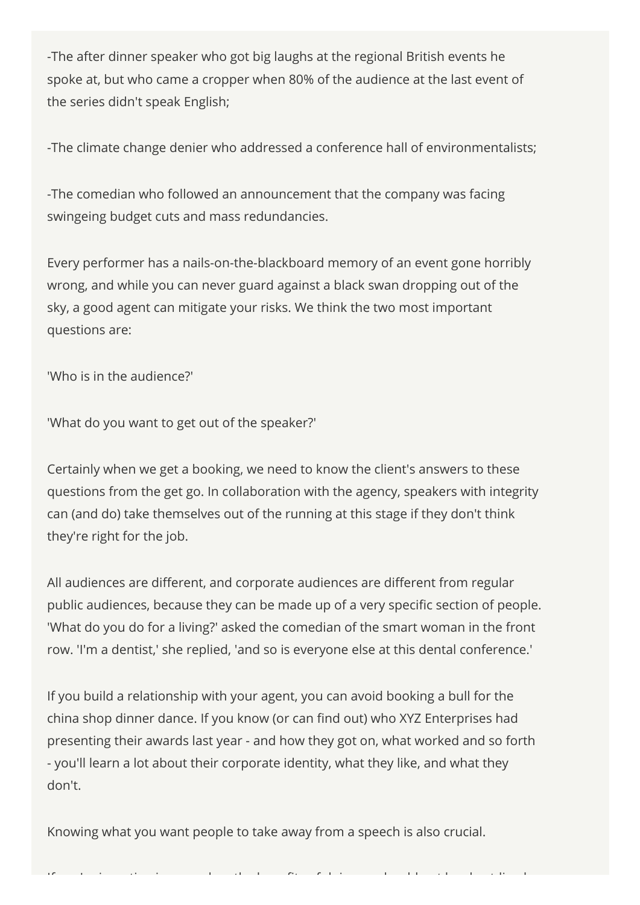-The after dinner speaker who got big laughs at the regional British events he spoke at, but who came a cropper when 80% of the audience at the last event of the series didn't speak English;

-The climate change denier who addressed a conference hall of environmentalists;

-The comedian who followed an announcement that the company was facing swingeing budget cuts and mass redundancies.

Every performer has a nails-on-the-blackboard memory of an event gone horribly wrong, and while you can never guard against a black swan dropping out of the sky, a good agent can mitigate your risks. We think the two most important questions are:

'Who is in the audience?'

'What do you want to get out of the speaker?'

Certainly when we get a booking, we need to know the client's answers to these questions from the get go. In collaboration with the agency, speakers with integrity can (and do) take themselves out of the running at this stage if they don't think they're right for the job.

All audiences are different, and corporate audiences are different from regular public audiences, because they can be made up of a very specific section of people. 'What do you do for a living?' asked the comedian of the smart woman in the front row. 'I'm a dentist,' she replied, 'and so is everyone else at this dental conference.'

If you build a relationship with your agent, you can avoid booking a bull for the china shop dinner dance. If you know (or can find out) who XYZ Enterprises had presenting their awards last year - and how they got on, what worked and so forth - you'll learn a lot about their corporate identity, what they like, and what they don't.

Knowing what you want people to take away from a speech is also crucial.

If ' i ti i ti i di ti i ti i di ti i h h t li di ti i di ti i di ti i di ti i di ti i h t li di ti i di ti i<br>I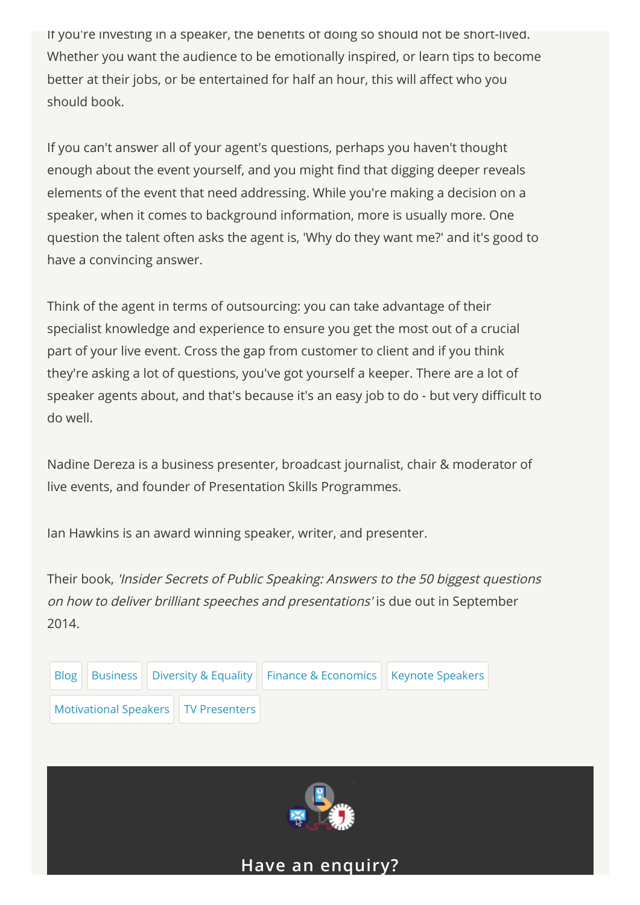If you're investing in a speaker, the benefits of doing so should not be short-lived. Whether you want the audience to be emotionally inspired, or learn tips to become better at their jobs, or be entertained for half an hour, this will affect who you should book.

If you can't answer all of your agent's questions, perhaps you haven't thought enough about the event yourself, and you might find that digging deeper reveals elements of the event that need addressing. While you're making a decision on a speaker, when it comes to background information, more is usually more. One question the talent often asks the agent is, 'Why do they want me?' and it's good to have a convincing answer.

Think of the agent in terms of outsourcing: you can take advantage of their specialist knowledge and experience to ensure you get the most out of a crucial part of your live event. Cross the gap from customer to client and if you think they're asking a lot of questions, you've got yourself a keeper. There are a lot of speaker agents about, and that's because it's an easy job to do - but very difficult to do well.

Nadine Dereza is a business presenter, broadcast journalist, chair & moderator of live events, and founder of Presentation Skills Programmes.

Ian Hawkins is an award winning speaker, writer, and presenter.

Their book, 'Insider Secrets of Public Speaking: Answers to the 50 biggest questions on how to deliver brilliant speeches and presentations' is due out in September 2014.





## **Have an enquiry?**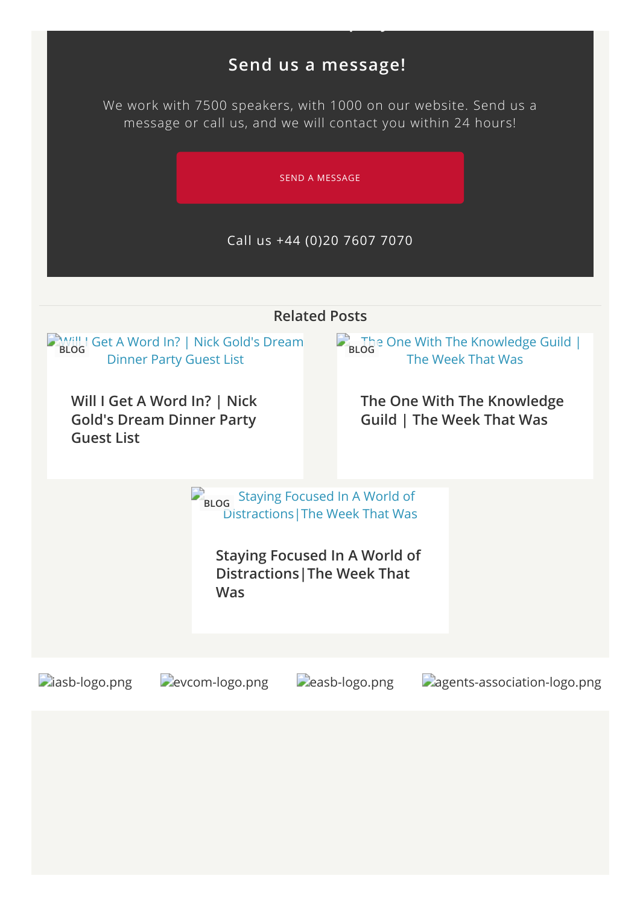